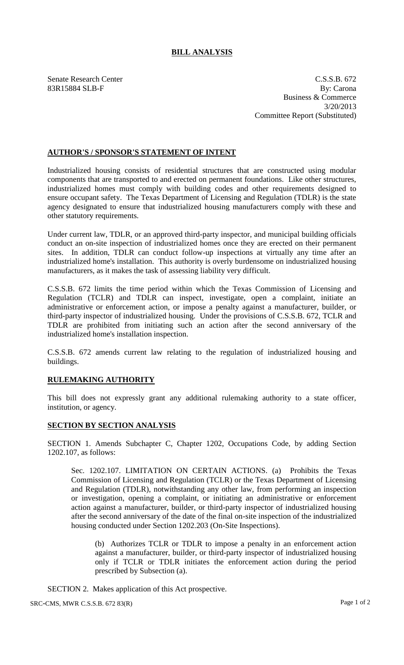## **BILL ANALYSIS**

Senate Research Center C.S.S.B. 672 83R15884 SLB-F By: Carona Business & Commerce 3/20/2013 Committee Report (Substituted)

## **AUTHOR'S / SPONSOR'S STATEMENT OF INTENT**

Industrialized housing consists of residential structures that are constructed using modular components that are transported to and erected on permanent foundations. Like other structures, industrialized homes must comply with building codes and other requirements designed to ensure occupant safety. The Texas Department of Licensing and Regulation (TDLR) is the state agency designated to ensure that industrialized housing manufacturers comply with these and other statutory requirements.

Under current law, TDLR, or an approved third-party inspector, and municipal building officials conduct an on-site inspection of industrialized homes once they are erected on their permanent sites. In addition, TDLR can conduct follow-up inspections at virtually any time after an industrialized home's installation. This authority is overly burdensome on industrialized housing manufacturers, as it makes the task of assessing liability very difficult.

C.S.S.B. 672 limits the time period within which the Texas Commission of Licensing and Regulation (TCLR) and TDLR can inspect, investigate, open a complaint, initiate an administrative or enforcement action, or impose a penalty against a manufacturer, builder, or third-party inspector of industrialized housing. Under the provisions of C.S.S.B. 672, TCLR and TDLR are prohibited from initiating such an action after the second anniversary of the industrialized home's installation inspection.

C.S.S.B. 672 amends current law relating to the regulation of industrialized housing and buildings.

## **RULEMAKING AUTHORITY**

This bill does not expressly grant any additional rulemaking authority to a state officer, institution, or agency.

## **SECTION BY SECTION ANALYSIS**

SECTION 1. Amends Subchapter C, Chapter 1202, Occupations Code, by adding Section 1202.107, as follows:

Sec. 1202.107. LIMITATION ON CERTAIN ACTIONS. (a) Prohibits the Texas Commission of Licensing and Regulation (TCLR) or the Texas Department of Licensing and Regulation (TDLR), notwithstanding any other law, from performing an inspection or investigation, opening a complaint, or initiating an administrative or enforcement action against a manufacturer, builder, or third-party inspector of industrialized housing after the second anniversary of the date of the final on-site inspection of the industrialized housing conducted under Section 1202.203 (On-Site Inspections).

(b) Authorizes TCLR or TDLR to impose a penalty in an enforcement action against a manufacturer, builder, or third-party inspector of industrialized housing only if TCLR or TDLR initiates the enforcement action during the period prescribed by Subsection (a).

SECTION 2. Makes application of this Act prospective.